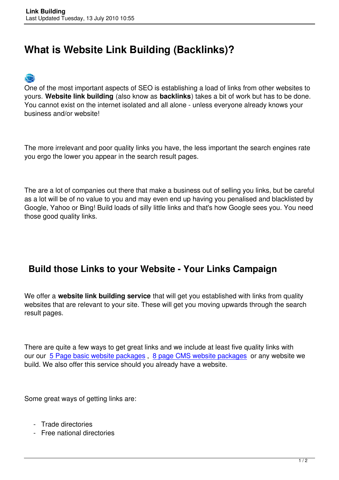## **What is Website Link Building (Backlinks)?**



One of the most important aspects of SEO is establishing a load of links from other websites to yours. **Website link building** (also know as **backlinks**) takes a bit of work but has to be done. You cannot exist on the internet isolated and all alone - unless everyone already knows your business and/or website!

The more irrelevant and poor quality links you have, the less important the search engines rate you ergo the lower you appear in the search result pages.

The are a lot of companies out there that make a business out of selling you links, but be careful as a lot will be of no value to you and may even end up having you penalised and blacklisted by Google, Yahoo or Bing! Build loads of silly little links and that's how Google sees you. You need those good quality links.

## **Build those Links to your Website - Your Links Campaign**

We offer a **website link building service** that will get you established with links from quality websites that are relevant to your site. These will get you moving upwards through the search result pages.

There are quite a few ways to get great links and we include at least five quality links with our our 5 Page basic website packages , 8 page CMS website packages or any website we build. We also offer this service should you already have a website.

Some great ways of getting links are:

- Trade directories
- Free national directories